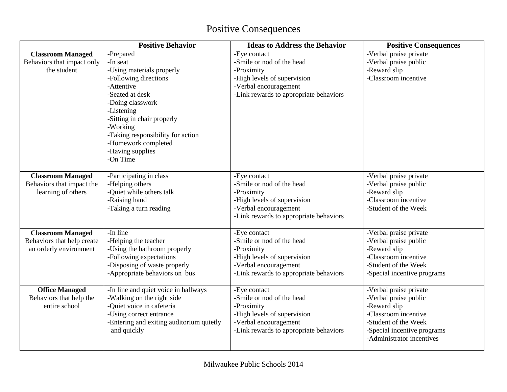## Positive Consequences

|                                           | <b>Positive Behavior</b>                 | <b>Ideas to Address the Behavior</b>    | <b>Positive Consequences</b>                             |
|-------------------------------------------|------------------------------------------|-----------------------------------------|----------------------------------------------------------|
| <b>Classroom Managed</b>                  | -Prepared                                | -Eye contact                            | -Verbal praise private                                   |
| Behaviors that impact only<br>the student | -In seat<br>-Using materials properly    | -Smile or nod of the head<br>-Proximity | -Verbal praise public<br>-Reward slip                    |
|                                           | -Following directions                    | -High levels of supervision             | -Classroom incentive                                     |
|                                           | -Attentive                               | -Verbal encouragement                   |                                                          |
|                                           | -Seated at desk                          | -Link rewards to appropriate behaviors  |                                                          |
|                                           | -Doing classwork                         |                                         |                                                          |
|                                           | -Listening                               |                                         |                                                          |
|                                           | -Sitting in chair properly               |                                         |                                                          |
|                                           | -Working                                 |                                         |                                                          |
|                                           | -Taking responsibility for action        |                                         |                                                          |
|                                           | -Homework completed                      |                                         |                                                          |
|                                           | -Having supplies                         |                                         |                                                          |
|                                           | -On Time                                 |                                         |                                                          |
| <b>Classroom Managed</b>                  | -Participating in class                  | -Eye contact                            | -Verbal praise private                                   |
| Behaviors that impact the                 | -Helping others                          | -Smile or nod of the head               | -Verbal praise public                                    |
| learning of others                        | -Quiet while others talk                 | -Proximity                              | -Reward slip                                             |
|                                           | -Raising hand                            | -High levels of supervision             | -Classroom incentive                                     |
|                                           | -Taking a turn reading                   | -Verbal encouragement                   | -Student of the Week                                     |
|                                           |                                          | -Link rewards to appropriate behaviors  |                                                          |
| <b>Classroom Managed</b>                  | -In line                                 | -Eye contact                            | -Verbal praise private                                   |
| Behaviors that help create                | -Helping the teacher                     | -Smile or nod of the head               | -Verbal praise public                                    |
| an orderly environment                    | -Using the bathroom properly             | -Proximity                              | -Reward slip                                             |
|                                           | -Following expectations                  | -High levels of supervision             | -Classroom incentive                                     |
|                                           | -Disposing of waste properly             | -Verbal encouragement                   | -Student of the Week                                     |
|                                           | -Appropriate behaviors on bus            | -Link rewards to appropriate behaviors  | -Special incentive programs                              |
| <b>Office Managed</b>                     | -In line and quiet voice in hallways     | -Eye contact                            | -Verbal praise private                                   |
| Behaviors that help the                   | -Walking on the right side               | -Smile or nod of the head               | -Verbal praise public                                    |
| entire school                             | -Quiet voice in cafeteria                | -Proximity                              | -Reward slip                                             |
|                                           | -Using correct entrance                  | -High levels of supervision             | -Classroom incentive                                     |
|                                           | -Entering and exiting auditorium quietly | -Verbal encouragement                   | -Student of the Week                                     |
|                                           | and quickly                              | -Link rewards to appropriate behaviors  | -Special incentive programs<br>-Administrator incentives |
|                                           |                                          |                                         |                                                          |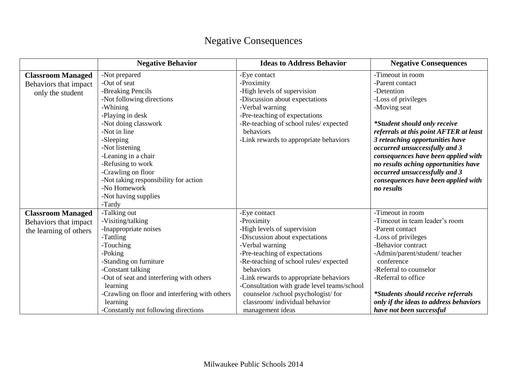|                          | <b>Negative Behavior</b>                       | <b>Ideas to Address Behavior</b>            | <b>Negative Consequences</b>              |
|--------------------------|------------------------------------------------|---------------------------------------------|-------------------------------------------|
| <b>Classroom Managed</b> | -Not prepared                                  | -Eye contact                                | -Timeout in room                          |
| Behaviors that impact    | -Out of seat                                   | -Proximity                                  | -Parent contact                           |
| only the student         | -Breaking Pencils                              | -High levels of supervision                 | -Detention                                |
|                          | -Not following directions                      | -Discussion about expectations              | -Loss of privileges                       |
|                          | -Whining                                       | -Verbal warning                             | -Moving seat                              |
|                          | -Playing in desk                               | -Pre-teaching of expectations               |                                           |
|                          | -Not doing classwork                           | -Re-teaching of school rules/ expected      | <i>*Student should only receive</i>       |
|                          | -Not in line                                   | behaviors                                   | referrals at this point AFTER at least    |
|                          | -Sleeping                                      | -Link rewards to appropriate behaviors      | 3 reteaching opportunities have           |
|                          | -Not listening                                 |                                             | occurred unsuccessfully and 3             |
|                          | -Leaning in a chair                            |                                             | consequences have been applied with       |
|                          | -Refusing to work                              |                                             | no results aching opportunities have      |
|                          | -Crawling on floor                             |                                             | occurred unsuccessfully and 3             |
|                          | -Not taking responsibility for action          |                                             | consequences have been applied with       |
|                          | -No Homework                                   |                                             | no results                                |
|                          | -Not having supplies                           |                                             |                                           |
|                          | -Tardy                                         |                                             |                                           |
| <b>Classroom Managed</b> | -Talking out                                   | -Eye contact                                | -Timeout in room                          |
| Behaviors that impact    | -Visiting/talking                              | -Proximity                                  | -Timeout in team leader's room            |
| the learning of others   | -Inappropriate noises                          | -High levels of supervision                 | -Parent contact                           |
|                          | -Tattling                                      | -Discussion about expectations              | -Loss of privileges                       |
|                          | -Touching                                      | -Verbal warning                             | -Behavior contract                        |
|                          | -Poking                                        | -Pre-teaching of expectations               | -Admin/parent/student/ teacher            |
|                          | -Standing on furniture                         | -Re-teaching of school rules/ expected      | conference                                |
|                          | -Constant talking                              | behaviors                                   | -Referral to counselor                    |
|                          | -Out of seat and interfering with others       | -Link rewards to appropriate behaviors      | -Referral to office                       |
|                          | learning                                       | -Consultation with grade level teams/school |                                           |
|                          | -Crawling on floor and interfering with others | counselor /school psychologist/ for         | <i>*Students should receive referrals</i> |
|                          | learning                                       | classroom/individual behavior               | only if the ideas to address behaviors    |
|                          | -Constantly not following directions           | management ideas                            | have not been successful                  |

## Negative Consequences